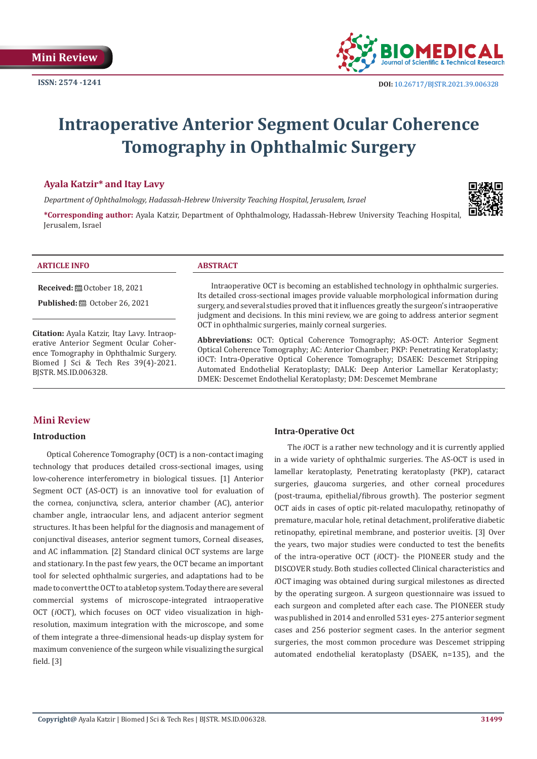

# **Intraoperative Anterior Segment Ocular Coherence Tomography in Ophthalmic Surgery**

# **Ayala Katzir\* and Itay Lavy**

*Department of Ophthalmology, Hadassah-Hebrew University Teaching Hospital, Jerusalem, Israel*

**\*Corresponding author:** Ayala Katzir, Department of Ophthalmology, Hadassah-Hebrew University Teaching Hospital, Jerusalem, Israel



#### **ARTICLE INFO ABSTRACT**

**Received:** ■ October 18, 2021

**Published: @** October 26, 2021

**Citation:** Ayala Katzir, Itay Lavy. Intraoperative Anterior Segment Ocular Coherence Tomography in Ophthalmic Surgery. Biomed J Sci & Tech Res 39(4)-2021. BJSTR. MS.ID.006328.

Intraoperative OCT is becoming an established technology in ophthalmic surgeries. Its detailed cross-sectional images provide valuable morphological information during surgery, and several studies proved that it influences greatly the surgeon's intraoperative judgment and decisions. In this mini review, we are going to address anterior segment OCT in ophthalmic surgeries, mainly corneal surgeries.

**Abbreviations:** OCT: Optical Coherence Tomography; AS-OCT: Anterior Segment Optical Coherence Tomography; AC: Anterior Chamber; PKP: Penetrating Keratoplasty; iOCT: Intra-Operative Optical Coherence Tomography; DSAEK: Descemet Stripping Automated Endothelial Keratoplasty; DALK: Deep Anterior Lamellar Keratoplasty; DMEK: Descemet Endothelial Keratoplasty; DM: Descemet Membrane

# **Mini Review**

### **Introduction**

Optical Coherence Tomography (OCT) is a non-contact imaging technology that produces detailed cross-sectional images, using low-coherence interferometry in biological tissues. [1] Anterior Segment OCT (AS-OCT) is an innovative tool for evaluation of the cornea, conjunctiva, sclera, anterior chamber (AC), anterior chamber angle, intraocular lens, and adjacent anterior segment structures. It has been helpful for the diagnosis and management of conjunctival diseases, anterior segment tumors, Corneal diseases, and AC inflammation. [2] Standard clinical OCT systems are large and stationary. In the past few years, the OCT became an important tool for selected ophthalmic surgeries, and adaptations had to be made to convert the OCT to a tabletop system. Today there are several commercial systems of microscope-integrated intraoperative OCT (*i*OCT), which focuses on OCT video visualization in highresolution, maximum integration with the microscope, and some of them integrate a three-dimensional heads-up display system for maximum convenience of the surgeon while visualizing the surgical field. [3]

#### **Intra-Operative Oct**

The *i*OCT is a rather new technology and it is currently applied in a wide variety of ophthalmic surgeries. The AS-OCT is used in lamellar keratoplasty, Penetrating keratoplasty (PKP), cataract surgeries, glaucoma surgeries, and other corneal procedures (post-trauma, epithelial/fibrous growth). The posterior segment OCT aids in cases of optic pit-related maculopathy, retinopathy of premature, macular hole, retinal detachment, proliferative diabetic retinopathy, epiretinal membrane, and posterior uveitis. [3] Over the years, two major studies were conducted to test the benefits of the intra-operative OCT (*i*OCT)- the PIONEER study and the DISCOVER study. Both studies collected Clinical characteristics and *i*OCT imaging was obtained during surgical milestones as directed by the operating surgeon. A surgeon questionnaire was issued to each surgeon and completed after each case. The PIONEER study was published in 2014 and enrolled 531 eyes- 275 anterior segment cases and 256 posterior segment cases. In the anterior segment surgeries, the most common procedure was Descemet stripping automated endothelial keratoplasty (DSAEK, n=135), and the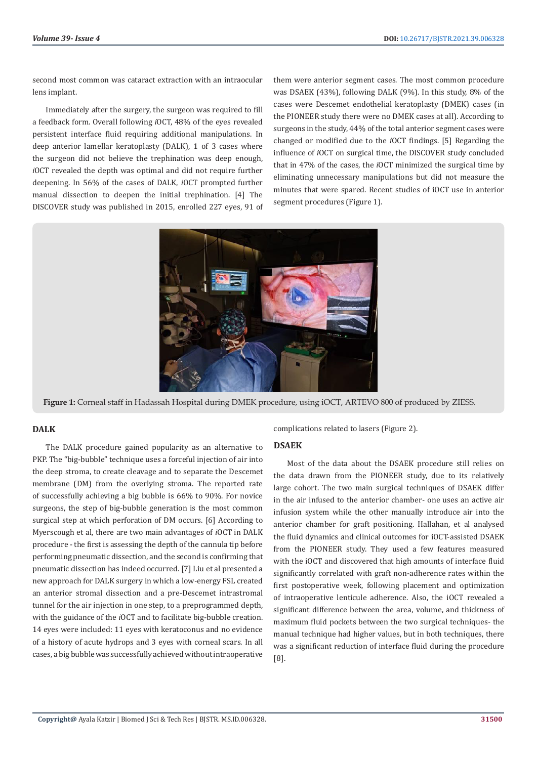second most common was cataract extraction with an intraocular lens implant.

Immediately after the surgery, the surgeon was required to fill a feedback form. Overall following *i*OCT, 48% of the eyes revealed persistent interface fluid requiring additional manipulations. In deep anterior lamellar keratoplasty (DALK), 1 of 3 cases where the surgeon did not believe the trephination was deep enough, *i*OCT revealed the depth was optimal and did not require further deepening. In 56% of the cases of DALK, *i*OCT prompted further manual dissection to deepen the initial trephination. [4] The DISCOVER study was published in 2015, enrolled 227 eyes, 91 of them were anterior segment cases. The most common procedure was DSAEK (43%), following DALK (9%). In this study, 8% of the cases were Descemet endothelial keratoplasty (DMEK) cases (in the PIONEER study there were no DMEK cases at all). According to surgeons in the study, 44% of the total anterior segment cases were changed or modified due to the *i*OCT findings. [5] Regarding the influence of *i*OCT on surgical time, the DISCOVER study concluded that in 47% of the cases, the *i*OCT minimized the surgical time by eliminating unnecessary manipulations but did not measure the minutes that were spared. Recent studies of iOCT use in anterior segment procedures (Figure 1).



**Figure 1:** Corneal staff in Hadassah Hospital during DMEK procedure, using iOCT, ARTEVO 800 of produced by ZIESS.

# **DALK**

The DALK procedure gained popularity as an alternative to PKP. The "big-bubble" technique uses a forceful injection of air into the deep stroma, to create cleavage and to separate the Descemet membrane (DM) from the overlying stroma. The reported rate of successfully achieving a big bubble is 66% to 90%. For novice surgeons, the step of big-bubble generation is the most common surgical step at which perforation of DM occurs. [6] According to Myerscough et al, there are two main advantages of *i*OCT in DALK procedure - the first is assessing the depth of the cannula tip before performing pneumatic dissection, and the second is confirming that pneumatic dissection has indeed occurred. [7] Liu et al presented a new approach for DALK surgery in which a low-energy FSL created an anterior stromal dissection and a pre-Descemet intrastromal tunnel for the air injection in one step, to a preprogrammed depth, with the guidance of the *i*OCT and to facilitate big-bubble creation. 14 eyes were included: 11 eyes with keratoconus and no evidence of a history of acute hydrops and 3 eyes with corneal scars. In all cases, a big bubble was successfully achieved without intraoperative

complications related to lasers (Figure 2).

#### **DSAEK**

Most of the data about the DSAEK procedure still relies on the data drawn from the PIONEER study, due to its relatively large cohort. The two main surgical techniques of DSAEK differ in the air infused to the anterior chamber- one uses an active air infusion system while the other manually introduce air into the anterior chamber for graft positioning. Hallahan, et al analysed the fluid dynamics and clinical outcomes for iOCT-assisted DSAEK from the PIONEER study. They used a few features measured with the iOCT and discovered that high amounts of interface fluid significantly correlated with graft non-adherence rates within the first postoperative week, following placement and optimization of intraoperative lenticule adherence. Also, the iOCT revealed a significant difference between the area, volume, and thickness of maximum fluid pockets between the two surgical techniques- the manual technique had higher values, but in both techniques, there was a significant reduction of interface fluid during the procedure [8].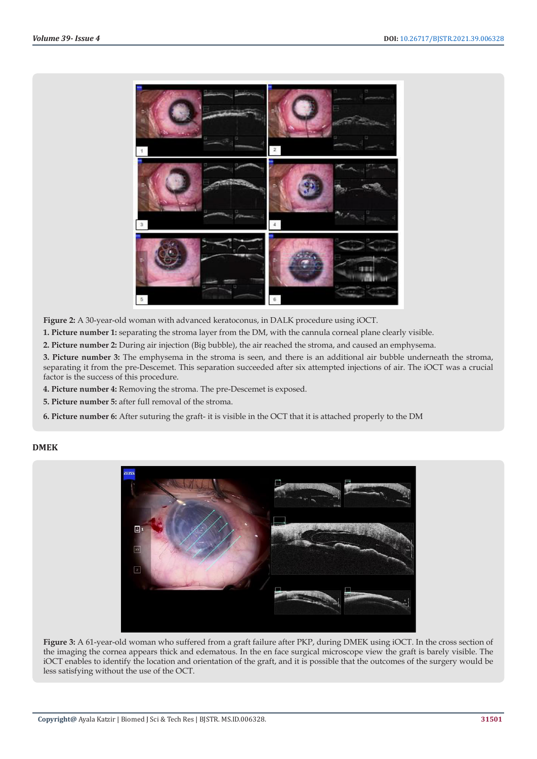

**Figure 2:** A 30-year-old woman with advanced keratoconus, in DALK procedure using iOCT.

**1. Picture number 1:** separating the stroma layer from the DM, with the cannula corneal plane clearly visible.

**2. Picture number 2:** During air injection (Big bubble), the air reached the stroma, and caused an emphysema.

**3. Picture number 3:** The emphysema in the stroma is seen, and there is an additional air bubble underneath the stroma, separating it from the pre-Descemet. This separation succeeded after six attempted injections of air. The iOCT was a crucial factor is the success of this procedure.

**4. Picture number 4:** Removing the stroma. The pre-Descemet is exposed.

**5. Picture number 5:** after full removal of the stroma.

**6. Picture number 6:** After suturing the graft- it is visible in the OCT that it is attached properly to the DM

# **DMEK**



**Figure 3:** A 61-year-old woman who suffered from a graft failure after PKP, during DMEK using iOCT. In the cross section of the imaging the cornea appears thick and edematous. In the en face surgical microscope view the graft is barely visible. The iOCT enables to identify the location and orientation of the graft, and it is possible that the outcomes of the surgery would be less satisfying without the use of the OCT.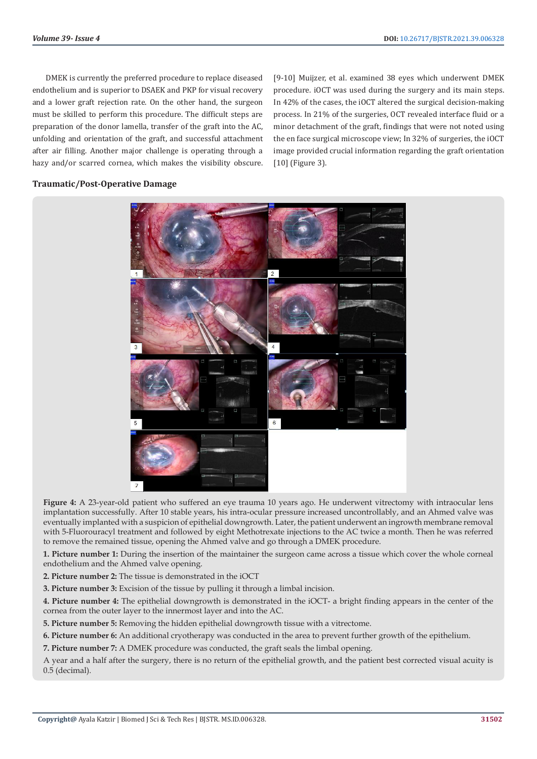DMEK is currently the preferred procedure to replace diseased endothelium and is superior to DSAEK and PKP for visual recovery and a lower graft rejection rate. On the other hand, the surgeon must be skilled to perform this procedure. The difficult steps are preparation of the donor lamella, transfer of the graft into the AC, unfolding and orientation of the graft, and successful attachment after air filling. Another major challenge is operating through a hazy and/or scarred cornea, which makes the visibility obscure.

[9-10] Muijzer, et al. examined 38 eyes which underwent DMEK procedure. iOCT was used during the surgery and its main steps. In 42% of the cases, the iOCT altered the surgical decision-making process. In 21% of the surgeries, OCT revealed interface fluid or a minor detachment of the graft, findings that were not noted using the en face surgical microscope view; In 32% of surgeries, the iOCT image provided crucial information regarding the graft orientation [10] (Figure 3).

# **Traumatic/Post-Operative Damage**



**Figure 4:** A 23-year-old patient who suffered an eye trauma 10 years ago. He underwent vitrectomy with intraocular lens implantation successfully. After 10 stable years, his intra-ocular pressure increased uncontrollably, and an Ahmed valve was eventually implanted with a suspicion of epithelial downgrowth. Later, the patient underwent an ingrowth membrane removal with 5-Fluorouracyl treatment and followed by eight Methotrexate injections to the AC twice a month. Then he was referred to remove the remained tissue, opening the Ahmed valve and go through a DMEK procedure.

**1. Picture number 1:** During the insertion of the maintainer the surgeon came across a tissue which cover the whole corneal endothelium and the Ahmed valve opening.

**2. Picture number 2:** The tissue is demonstrated in the iOCT

**3. Picture number 3:** Excision of the tissue by pulling it through a limbal incision.

**4. Picture number 4:** The epithelial downgrowth is demonstrated in the iOCT- a bright finding appears in the center of the cornea from the outer layer to the innermost layer and into the AC.

**5. Picture number 5:** Removing the hidden epithelial downgrowth tissue with a vitrectome.

**6. Picture number 6:** An additional cryotherapy was conducted in the area to prevent further growth of the epithelium.

**7. Picture number 7:** A DMEK procedure was conducted, the graft seals the limbal opening.

A year and a half after the surgery, there is no return of the epithelial growth, and the patient best corrected visual acuity is 0.5 (decimal).